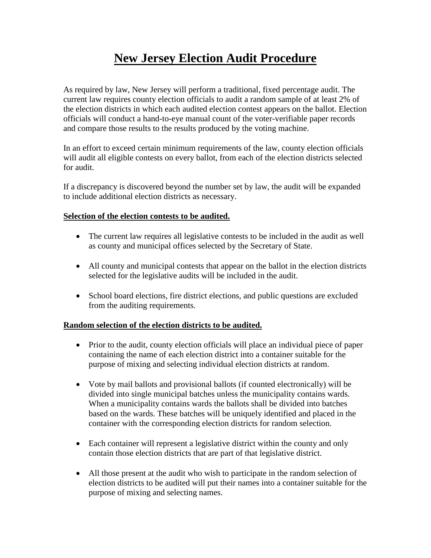# **New Jersey Election Audit Procedure**

As required by law, New Jersey will perform a traditional, fixed percentage audit. The current law requires county election officials to audit a random sample of at least 2% of the election districts in which each audited election contest appears on the ballot. Election officials will conduct a hand-to-eye manual count of the voter-verifiable paper records and compare those results to the results produced by the voting machine.

In an effort to exceed certain minimum requirements of the law, county election officials will audit all eligible contests on every ballot, from each of the election districts selected for audit.

If a discrepancy is discovered beyond the number set by law, the audit will be expanded to include additional election districts as necessary.

### **Selection of the election contests to be audited.**

- The current law requires all legislative contests to be included in the audit as well as county and municipal offices selected by the Secretary of State.
- All county and municipal contests that appear on the ballot in the election districts selected for the legislative audits will be included in the audit.
- School board elections, fire district elections, and public questions are excluded from the auditing requirements.

## **Random selection of the election districts to be audited.**

- Prior to the audit, county election officials will place an individual piece of paper containing the name of each election district into a container suitable for the purpose of mixing and selecting individual election districts at random.
- Vote by mail ballots and provisional ballots (if counted electronically) will be divided into single municipal batches unless the municipality contains wards. When a municipality contains wards the ballots shall be divided into batches based on the wards. These batches will be uniquely identified and placed in the container with the corresponding election districts for random selection.
- Each container will represent a legislative district within the county and only contain those election districts that are part of that legislative district.
- All those present at the audit who wish to participate in the random selection of election districts to be audited will put their names into a container suitable for the purpose of mixing and selecting names.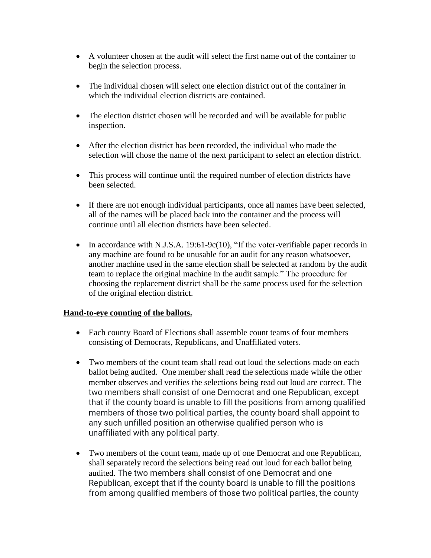- A volunteer chosen at the audit will select the first name out of the container to begin the selection process.
- The individual chosen will select one election district out of the container in which the individual election districts are contained.
- The election district chosen will be recorded and will be available for public inspection.
- After the election district has been recorded, the individual who made the selection will chose the name of the next participant to select an election district.
- This process will continue until the required number of election districts have been selected.
- If there are not enough individual participants, once all names have been selected, all of the names will be placed back into the container and the process will continue until all election districts have been selected.
- In accordance with N.J.S.A. 19:61-9c(10), "If the voter-verifiable paper records in any machine are found to be unusable for an audit for any reason whatsoever, another machine used in the same election shall be selected at random by the audit team to replace the original machine in the audit sample." The procedure for choosing the replacement district shall be the same process used for the selection of the original election district.

## **Hand-to-eye counting of the ballots.**

- Each county Board of Elections shall assemble count teams of four members consisting of Democrats, Republicans, and Unaffiliated voters.
- Two members of the count team shall read out loud the selections made on each ballot being audited. One member shall read the selections made while the other member observes and verifies the selections being read out loud are correct. The two members shall consist of one Democrat and one Republican, except that if the county board is unable to fill the positions from among qualified members of those two political parties, the county board shall appoint to any such unfilled position an otherwise qualified person who is unaffiliated with any political party.
- Two members of the count team, made up of one Democrat and one Republican, shall separately record the selections being read out loud for each ballot being audited. The two members shall consist of one Democrat and one Republican, except that if the county board is unable to fill the positions from among qualified members of those two political parties, the county